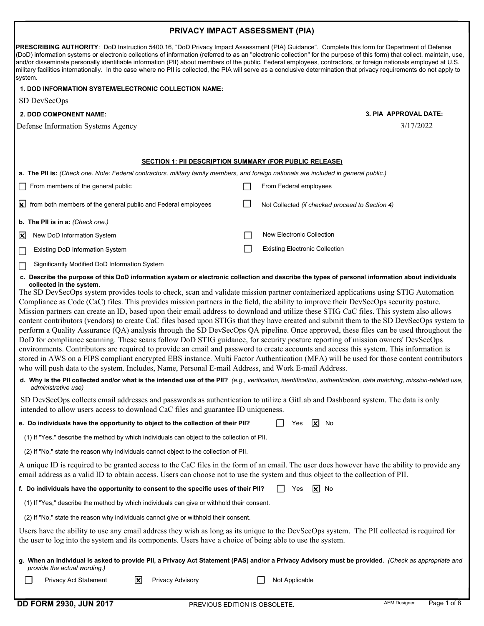## PRIVACY IMPACT ASSESSMENT (PIA)

|                               | PRESCRIBING AUTHORITY: DoD Instruction 5400.16, "DoD Privacy Impact Assessment (PIA) Guidance". Complete this form for Department of Defense<br>(DoD) information systems or electronic collections of information (referred to as an "electronic collection" for the purpose of this form) that collect, maintain, use,<br>and/or disseminate personally identifiable information (PII) about members of the public, Federal employees, contractors, or foreign nationals employed at U.S.<br>military facilities internationally. In the case where no PII is collected, the PIA will serve as a conclusive determination that privacy requirements do not apply to<br>system.                                                                                                                                                                                                                                                                                                                                                                                                                                                                                                                                                                                                                                                                                                                                                                                                                                                                                                                |  |                                                 |  |  |  |
|-------------------------------|-------------------------------------------------------------------------------------------------------------------------------------------------------------------------------------------------------------------------------------------------------------------------------------------------------------------------------------------------------------------------------------------------------------------------------------------------------------------------------------------------------------------------------------------------------------------------------------------------------------------------------------------------------------------------------------------------------------------------------------------------------------------------------------------------------------------------------------------------------------------------------------------------------------------------------------------------------------------------------------------------------------------------------------------------------------------------------------------------------------------------------------------------------------------------------------------------------------------------------------------------------------------------------------------------------------------------------------------------------------------------------------------------------------------------------------------------------------------------------------------------------------------------------------------------------------------------------------------------|--|-------------------------------------------------|--|--|--|
|                               | <b>1. DOD INFORMATION SYSTEM/ELECTRONIC COLLECTION NAME:</b>                                                                                                                                                                                                                                                                                                                                                                                                                                                                                                                                                                                                                                                                                                                                                                                                                                                                                                                                                                                                                                                                                                                                                                                                                                                                                                                                                                                                                                                                                                                                    |  |                                                 |  |  |  |
|                               | SD DevSecOps                                                                                                                                                                                                                                                                                                                                                                                                                                                                                                                                                                                                                                                                                                                                                                                                                                                                                                                                                                                                                                                                                                                                                                                                                                                                                                                                                                                                                                                                                                                                                                                    |  |                                                 |  |  |  |
| <b>2. DOD COMPONENT NAME:</b> |                                                                                                                                                                                                                                                                                                                                                                                                                                                                                                                                                                                                                                                                                                                                                                                                                                                                                                                                                                                                                                                                                                                                                                                                                                                                                                                                                                                                                                                                                                                                                                                                 |  | 3. PIA APPROVAL DATE:                           |  |  |  |
|                               | Defense Information Systems Agency                                                                                                                                                                                                                                                                                                                                                                                                                                                                                                                                                                                                                                                                                                                                                                                                                                                                                                                                                                                                                                                                                                                                                                                                                                                                                                                                                                                                                                                                                                                                                              |  | 3/17/2022                                       |  |  |  |
|                               |                                                                                                                                                                                                                                                                                                                                                                                                                                                                                                                                                                                                                                                                                                                                                                                                                                                                                                                                                                                                                                                                                                                                                                                                                                                                                                                                                                                                                                                                                                                                                                                                 |  |                                                 |  |  |  |
|                               | <b>SECTION 1: PII DESCRIPTION SUMMARY (FOR PUBLIC RELEASE)</b>                                                                                                                                                                                                                                                                                                                                                                                                                                                                                                                                                                                                                                                                                                                                                                                                                                                                                                                                                                                                                                                                                                                                                                                                                                                                                                                                                                                                                                                                                                                                  |  |                                                 |  |  |  |
|                               | a. The PII is: (Check one. Note: Federal contractors, military family members, and foreign nationals are included in general public.)                                                                                                                                                                                                                                                                                                                                                                                                                                                                                                                                                                                                                                                                                                                                                                                                                                                                                                                                                                                                                                                                                                                                                                                                                                                                                                                                                                                                                                                           |  |                                                 |  |  |  |
|                               | From members of the general public                                                                                                                                                                                                                                                                                                                                                                                                                                                                                                                                                                                                                                                                                                                                                                                                                                                                                                                                                                                                                                                                                                                                                                                                                                                                                                                                                                                                                                                                                                                                                              |  | From Federal employees                          |  |  |  |
|                               |                                                                                                                                                                                                                                                                                                                                                                                                                                                                                                                                                                                                                                                                                                                                                                                                                                                                                                                                                                                                                                                                                                                                                                                                                                                                                                                                                                                                                                                                                                                                                                                                 |  |                                                 |  |  |  |
|                               | $\mathsf{\times}$ from both members of the general public and Federal employees                                                                                                                                                                                                                                                                                                                                                                                                                                                                                                                                                                                                                                                                                                                                                                                                                                                                                                                                                                                                                                                                                                                                                                                                                                                                                                                                                                                                                                                                                                                 |  | Not Collected (if checked proceed to Section 4) |  |  |  |
|                               | b. The PII is in a: (Check one.)                                                                                                                                                                                                                                                                                                                                                                                                                                                                                                                                                                                                                                                                                                                                                                                                                                                                                                                                                                                                                                                                                                                                                                                                                                                                                                                                                                                                                                                                                                                                                                |  |                                                 |  |  |  |
| $\mathbf{x}$                  | New DoD Information System                                                                                                                                                                                                                                                                                                                                                                                                                                                                                                                                                                                                                                                                                                                                                                                                                                                                                                                                                                                                                                                                                                                                                                                                                                                                                                                                                                                                                                                                                                                                                                      |  | New Electronic Collection                       |  |  |  |
|                               | <b>Existing DoD Information System</b>                                                                                                                                                                                                                                                                                                                                                                                                                                                                                                                                                                                                                                                                                                                                                                                                                                                                                                                                                                                                                                                                                                                                                                                                                                                                                                                                                                                                                                                                                                                                                          |  | <b>Existing Electronic Collection</b>           |  |  |  |
| $\Box$                        | Significantly Modified DoD Information System                                                                                                                                                                                                                                                                                                                                                                                                                                                                                                                                                                                                                                                                                                                                                                                                                                                                                                                                                                                                                                                                                                                                                                                                                                                                                                                                                                                                                                                                                                                                                   |  |                                                 |  |  |  |
|                               | c. Describe the purpose of this DoD information system or electronic collection and describe the types of personal information about individuals<br>collected in the system.<br>The SD DevSecOps system provides tools to check, scan and validate mission partner containerized applications using STIG Automation<br>Compliance as Code (CaC) files. This provides mission partners in the field, the ability to improve their DevSecOps security posture.<br>Mission partners can create an ID, based upon their email address to download and utilize these STIG CaC files. This system also allows<br>content contributors (vendors) to create CaC files based upon STIGs that they have created and submit them to the SD DevSecOps system to<br>perform a Quality Assurance (QA) analysis through the SD DevSecOps QA pipeline. Once approved, these files can be used throughout the<br>DoD for compliance scanning. These scans follow DoD STIG guidance, for security posture reporting of mission owners' DevSecOps<br>environments. Contributors are required to provide an email and password to create accounts and access this system. This information is<br>stored in AWS on a FIPS compliant encrypted EBS instance. Multi Factor Authentication (MFA) will be used for those content contributors<br>who will push data to the system. Includes, Name, Personal E-mail Address, and Work E-mail Address.<br>d. Why is the PII collected and/or what is the intended use of the PII? (e.g., verification, identification, authentication, data matching, mission-related use, |  |                                                 |  |  |  |
|                               | administrative use)<br>SD DevSecOps collects email addresses and passwords as authentication to utilize a GitLab and Dashboard system. The data is only                                                                                                                                                                                                                                                                                                                                                                                                                                                                                                                                                                                                                                                                                                                                                                                                                                                                                                                                                                                                                                                                                                                                                                                                                                                                                                                                                                                                                                         |  |                                                 |  |  |  |
|                               | intended to allow users access to download CaC files and guarantee ID uniqueness.                                                                                                                                                                                                                                                                                                                                                                                                                                                                                                                                                                                                                                                                                                                                                                                                                                                                                                                                                                                                                                                                                                                                                                                                                                                                                                                                                                                                                                                                                                               |  |                                                 |  |  |  |
|                               | e. Do individuals have the opportunity to object to the collection of their PII?                                                                                                                                                                                                                                                                                                                                                                                                                                                                                                                                                                                                                                                                                                                                                                                                                                                                                                                                                                                                                                                                                                                                                                                                                                                                                                                                                                                                                                                                                                                |  | Yes<br>$ {\bf x} $<br>No                        |  |  |  |
|                               | (1) If "Yes," describe the method by which individuals can object to the collection of PII.                                                                                                                                                                                                                                                                                                                                                                                                                                                                                                                                                                                                                                                                                                                                                                                                                                                                                                                                                                                                                                                                                                                                                                                                                                                                                                                                                                                                                                                                                                     |  |                                                 |  |  |  |
|                               | (2) If "No," state the reason why individuals cannot object to the collection of PII.                                                                                                                                                                                                                                                                                                                                                                                                                                                                                                                                                                                                                                                                                                                                                                                                                                                                                                                                                                                                                                                                                                                                                                                                                                                                                                                                                                                                                                                                                                           |  |                                                 |  |  |  |
|                               | A unique ID is required to be granted access to the CaC files in the form of an email. The user does however have the ability to provide any<br>email address as a valid ID to obtain access. Users can choose not to use the system and thus object to the collection of PII.                                                                                                                                                                                                                                                                                                                                                                                                                                                                                                                                                                                                                                                                                                                                                                                                                                                                                                                                                                                                                                                                                                                                                                                                                                                                                                                  |  |                                                 |  |  |  |
|                               | f. Do individuals have the opportunity to consent to the specific uses of their PII?                                                                                                                                                                                                                                                                                                                                                                                                                                                                                                                                                                                                                                                                                                                                                                                                                                                                                                                                                                                                                                                                                                                                                                                                                                                                                                                                                                                                                                                                                                            |  | Yes<br>$\mathsf{X}$ No                          |  |  |  |
|                               | (1) If "Yes," describe the method by which individuals can give or withhold their consent.                                                                                                                                                                                                                                                                                                                                                                                                                                                                                                                                                                                                                                                                                                                                                                                                                                                                                                                                                                                                                                                                                                                                                                                                                                                                                                                                                                                                                                                                                                      |  |                                                 |  |  |  |
|                               | (2) If "No," state the reason why individuals cannot give or withhold their consent.                                                                                                                                                                                                                                                                                                                                                                                                                                                                                                                                                                                                                                                                                                                                                                                                                                                                                                                                                                                                                                                                                                                                                                                                                                                                                                                                                                                                                                                                                                            |  |                                                 |  |  |  |
|                               | Users have the ability to use any email address they wish as long as its unique to the DevSecOps system. The PII collected is required for                                                                                                                                                                                                                                                                                                                                                                                                                                                                                                                                                                                                                                                                                                                                                                                                                                                                                                                                                                                                                                                                                                                                                                                                                                                                                                                                                                                                                                                      |  |                                                 |  |  |  |
|                               | the user to log into the system and its components. Users have a choice of being able to use the system.                                                                                                                                                                                                                                                                                                                                                                                                                                                                                                                                                                                                                                                                                                                                                                                                                                                                                                                                                                                                                                                                                                                                                                                                                                                                                                                                                                                                                                                                                        |  |                                                 |  |  |  |
|                               | g. When an individual is asked to provide Pll, a Privacy Act Statement (PAS) and/or a Privacy Advisory must be provided. (Check as appropriate and<br>provide the actual wording.)                                                                                                                                                                                                                                                                                                                                                                                                                                                                                                                                                                                                                                                                                                                                                                                                                                                                                                                                                                                                                                                                                                                                                                                                                                                                                                                                                                                                              |  |                                                 |  |  |  |
|                               | Privacy Act Statement<br>Privacy Advisory<br>$\mathsf{L}$<br>ΙXΙ                                                                                                                                                                                                                                                                                                                                                                                                                                                                                                                                                                                                                                                                                                                                                                                                                                                                                                                                                                                                                                                                                                                                                                                                                                                                                                                                                                                                                                                                                                                                |  | Not Applicable                                  |  |  |  |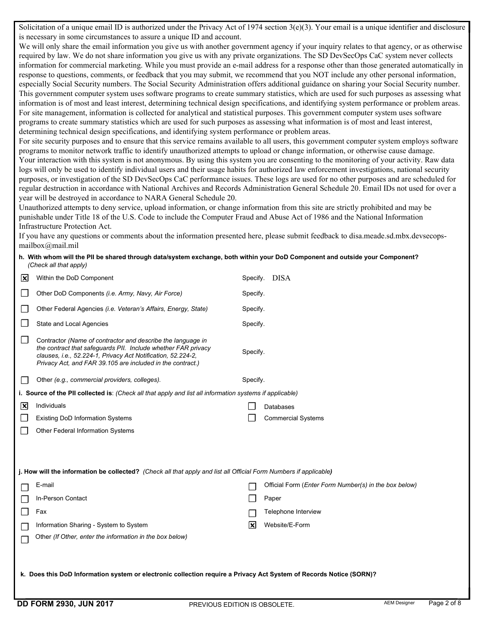Solicitation of a unique email ID is authorized under the Privacy Act of 1974 section 3(e)(3). Your email is a unique identifier and disclosure is necessary in some circumstances to assure a unique ID and account.

We will only share the email information you give us with another government agency if your inquiry relates to that agency, or as otherwise required by law. We do not share information you give us with any private organizations. The SD DevSecOps CaC system never collects information for commercial marketing. While you must provide an e-mail address for a response other than those generated automatically in response to questions, comments, or feedback that you may submit, we recommend that you NOT include any other personal information, especially Social Security numbers. The Social Security Administration offers additional guidance on sharing your Social Security number. This government computer system uses software programs to create summary statistics, which are used for such purposes as assessing what information is of most and least interest, determining technical design specifications, and identifying system performance or problem areas. For site management, information is collected for analytical and statistical purposes. This government computer system uses software programs to create summary statistics which are used for such purposes as assessing what information is of most and least interest, determining technical design specifications, and identifying system performance or problem areas.

 For site security purposes and to ensure that this service remains available to all users, this government computer system employs software programs to monitor network traffic to identify unauthorized attempts to upload or change information, or otherwise cause damage. Your interaction with this system is not anonymous. By using this system you are consenting to the monitoring of your activity. Raw data logs will only be used to identify individual users and their usage habits for authorized law enforcement investigations, national security purposes, or investigation of the SD DevSecOps CaC performance issues. These logs are used for no other purposes and are scheduled for regular destruction in accordance with National Archives and Records Administration General Schedule 20. Email IDs not used for over a year will be destroyed in accordance to NARA General Schedule 20.

 Unauthorized attempts to deny service, upload information, or change information from this site are strictly prohibited and may be punishable under Title 18 of the U.S. Code to include the Computer Fraud and Abuse Act of 1986 and the National Information Infrastructure Protection Act.

 If you have any questions or comments about the information presented here, please submit feedback to disa.meade.sd.mbx.devsecops[mailbox@mail.mil](mailto:mailbox@mail.mil)

## h. With whom will the PII be shared through data/system exchange, both within your DoD Component and outside your Component? (Check all that apply)

|   | <b>DD FORM 2930, JUN 2017</b><br>PREVIOUS EDITION IS OBSOLETE.                                                                                                                                                                                             |          |                                                       | <b>AEM Designer</b> | Page 2 of 8 |  |
|---|------------------------------------------------------------------------------------------------------------------------------------------------------------------------------------------------------------------------------------------------------------|----------|-------------------------------------------------------|---------------------|-------------|--|
|   | k. Does this DoD Information system or electronic collection require a Privacy Act System of Records Notice (SORN)?                                                                                                                                        |          |                                                       |                     |             |  |
|   | Other (If Other, enter the information in the box below)                                                                                                                                                                                                   |          |                                                       |                     |             |  |
|   | Information Sharing - System to System                                                                                                                                                                                                                     | 冈        | Website/E-Form                                        |                     |             |  |
|   | Fax                                                                                                                                                                                                                                                        |          | Telephone Interview                                   |                     |             |  |
|   | In-Person Contact                                                                                                                                                                                                                                          |          | Paper                                                 |                     |             |  |
|   | E-mail                                                                                                                                                                                                                                                     |          | Official Form (Enter Form Number(s) in the box below) |                     |             |  |
|   | j. How will the information be collected? (Check all that apply and list all Official Form Numbers if applicable)                                                                                                                                          |          |                                                       |                     |             |  |
|   |                                                                                                                                                                                                                                                            |          |                                                       |                     |             |  |
|   | Other Federal Information Systems                                                                                                                                                                                                                          |          |                                                       |                     |             |  |
|   | <b>Existing DoD Information Systems</b>                                                                                                                                                                                                                    |          | <b>Commercial Systems</b>                             |                     |             |  |
| 図 | Individuals                                                                                                                                                                                                                                                |          | Databases                                             |                     |             |  |
|   | i. Source of the PII collected is: (Check all that apply and list all information systems if applicable)                                                                                                                                                   |          |                                                       |                     |             |  |
|   | Other (e.g., commercial providers, colleges).                                                                                                                                                                                                              | Specify. |                                                       |                     |             |  |
|   | Contractor (Name of contractor and describe the language in<br>the contract that safequards PII. Include whether FAR privacy<br>clauses, i.e., 52.224-1, Privacy Act Notification, 52.224-2,<br>Privacy Act, and FAR 39.105 are included in the contract.) | Specify. |                                                       |                     |             |  |
|   | State and Local Agencies                                                                                                                                                                                                                                   |          | Specify.                                              |                     |             |  |
|   |                                                                                                                                                                                                                                                            |          |                                                       |                     |             |  |
|   | Other Federal Agencies (i.e. Veteran's Affairs, Energy, State)                                                                                                                                                                                             | Specify. |                                                       |                     |             |  |
|   | Other DoD Components (i.e. Army, Navy, Air Force)                                                                                                                                                                                                          | Specify. |                                                       |                     |             |  |
| 図 | Within the DoD Component                                                                                                                                                                                                                                   |          | Specify. DISA                                         |                     |             |  |